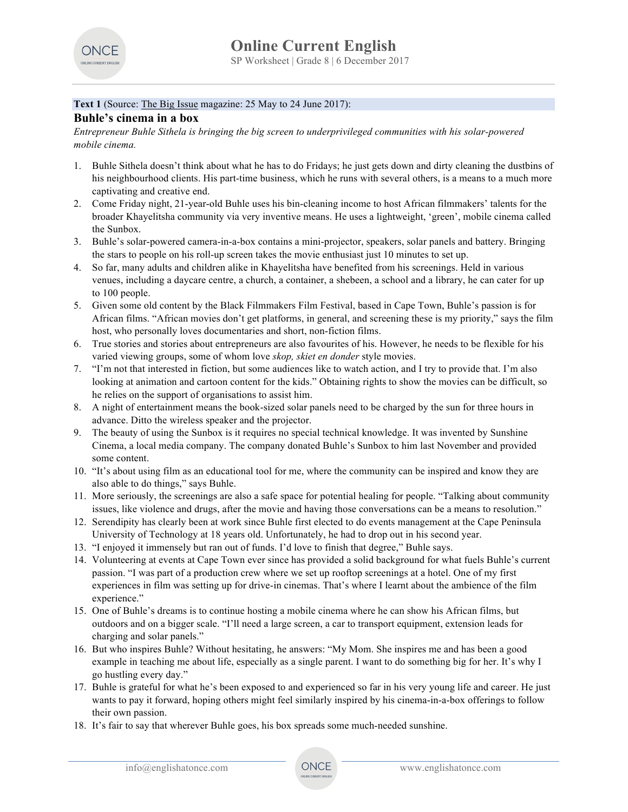

# Text 1 (Source: The Big Issue magazine: 25 May to 24 June 2017):

# **Buhle's cinema in a box**

*Entrepreneur Buhle Sithela is bringing the big screen to underprivileged communities with his solar-powered mobile cinema.*

- 1. Buhle Sithela doesn't think about what he has to do Fridays; he just gets down and dirty cleaning the dustbins of his neighbourhood clients. His part-time business, which he runs with several others, is a means to a much more captivating and creative end.
- 2. Come Friday night, 21-year-old Buhle uses his bin-cleaning income to host African filmmakers' talents for the broader Khayelitsha community via very inventive means. He uses a lightweight, 'green', mobile cinema called the Sunbox.
- 3. Buhle's solar-powered camera-in-a-box contains a mini-projector, speakers, solar panels and battery. Bringing the stars to people on his roll-up screen takes the movie enthusiast just 10 minutes to set up.
- 4. So far, many adults and children alike in Khayelitsha have benefited from his screenings. Held in various venues, including a daycare centre, a church, a container, a shebeen, a school and a library, he can cater for up to 100 people.
- 5. Given some old content by the Black Filmmakers Film Festival, based in Cape Town, Buhle's passion is for African films. "African movies don't get platforms, in general, and screening these is my priority," says the film host, who personally loves documentaries and short, non-fiction films.
- 6. True stories and stories about entrepreneurs are also favourites of his. However, he needs to be flexible for his varied viewing groups, some of whom love *skop, skiet en donder* style movies.
- 7. "I'm not that interested in fiction, but some audiences like to watch action, and I try to provide that. I'm also looking at animation and cartoon content for the kids." Obtaining rights to show the movies can be difficult, so he relies on the support of organisations to assist him.
- 8. A night of entertainment means the book-sized solar panels need to be charged by the sun for three hours in advance. Ditto the wireless speaker and the projector.
- 9. The beauty of using the Sunbox is it requires no special technical knowledge. It was invented by Sunshine Cinema, a local media company. The company donated Buhle's Sunbox to him last November and provided some content.
- 10. "It's about using film as an educational tool for me, where the community can be inspired and know they are also able to do things," says Buhle.
- 11. More seriously, the screenings are also a safe space for potential healing for people. "Talking about community issues, like violence and drugs, after the movie and having those conversations can be a means to resolution."
- 12. Serendipity has clearly been at work since Buhle first elected to do events management at the Cape Peninsula University of Technology at 18 years old. Unfortunately, he had to drop out in his second year.
- 13. "I enjoyed it immensely but ran out of funds. I'd love to finish that degree," Buhle says.
- 14. Volunteering at events at Cape Town ever since has provided a solid background for what fuels Buhle's current passion. "I was part of a production crew where we set up rooftop screenings at a hotel. One of my first experiences in film was setting up for drive-in cinemas. That's where I learnt about the ambience of the film experience."
- 15. One of Buhle's dreams is to continue hosting a mobile cinema where he can show his African films, but outdoors and on a bigger scale. "I'll need a large screen, a car to transport equipment, extension leads for charging and solar panels."
- 16. But who inspires Buhle? Without hesitating, he answers: "My Mom. She inspires me and has been a good example in teaching me about life, especially as a single parent. I want to do something big for her. It's why I go hustling every day."
- 17. Buhle is grateful for what he's been exposed to and experienced so far in his very young life and career. He just wants to pay it forward, hoping others might feel similarly inspired by his cinema-in-a-box offerings to follow their own passion.
- 18. It's fair to say that wherever Buhle goes, his box spreads some much-needed sunshine.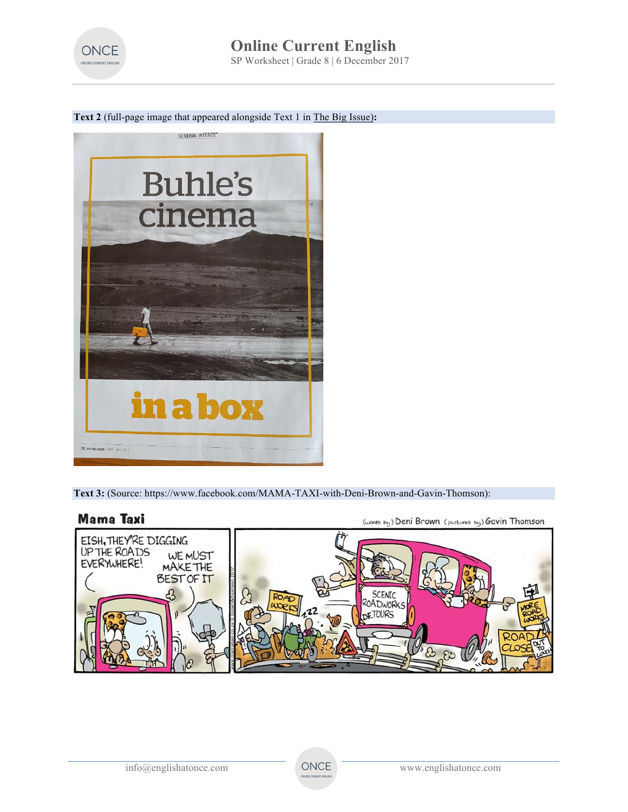

## **Text 2** (full-page image that appeared alongside Text 1 in The Big Issue)**:**



**Text 3:** (Source: https://www.facebook.com/MAMA-TAXI-with-Deni-Brown-and-Gavin-Thomson):



(words by) Deni Brown (pictures by) Gavin Thomson

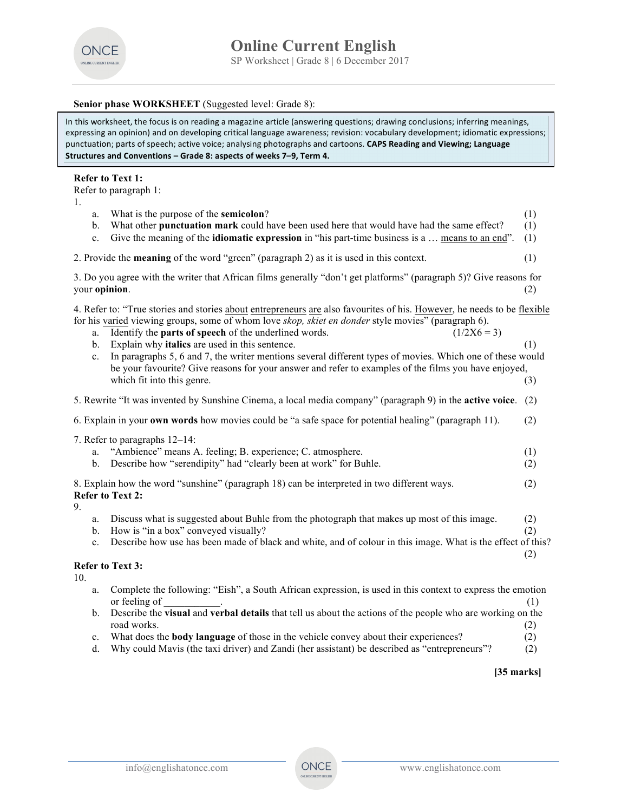

### **Senior phase WORKSHEET** (Suggested level: Grade 8):

In this worksheet, the focus is on reading a magazine article (answering questions; drawing conclusions; inferring meanings, expressing an opinion) and on developing critical language awareness; revision: vocabulary development; idiomatic expressions; punctuation; parts of speech; active voice; analysing photographs and cartoons. CAPS Reading and Viewing; Language Structures and Conventions - Grade 8: aspects of weeks 7-9, Term 4.

#### **Refer to Text 1:**

Refer to paragraph 1:

1.

| 1.  |                                                                                                                                                                                                                                                                                                                                                                                                                                                                                                                                                                                                                                             |                   |
|-----|---------------------------------------------------------------------------------------------------------------------------------------------------------------------------------------------------------------------------------------------------------------------------------------------------------------------------------------------------------------------------------------------------------------------------------------------------------------------------------------------------------------------------------------------------------------------------------------------------------------------------------------------|-------------------|
|     | What is the purpose of the semicolon?<br>a.<br>What other punctuation mark could have been used here that would have had the same effect?<br>b.<br>Give the meaning of the <b>idiomatic expression</b> in "his part-time business is a  means to an end".<br>c.                                                                                                                                                                                                                                                                                                                                                                             | (1)<br>(1)<br>(1) |
|     | 2. Provide the <b>meaning</b> of the word "green" (paragraph 2) as it is used in this context.                                                                                                                                                                                                                                                                                                                                                                                                                                                                                                                                              | (1)               |
|     | 3. Do you agree with the writer that African films generally "don't get platforms" (paragraph 5)? Give reasons for<br>your opinion.                                                                                                                                                                                                                                                                                                                                                                                                                                                                                                         | (2)               |
|     | 4. Refer to: "True stories and stories about entrepreneurs are also favourites of his. However, he needs to be flexible<br>for his varied viewing groups, some of whom love skop, skiet en donder style movies" (paragraph 6).<br>Identify the parts of speech of the underlined words.<br>$(1/2X6 = 3)$<br>a.<br>Explain why italics are used in this sentence.<br>b.<br>In paragraphs 5, 6 and 7, the writer mentions several different types of movies. Which one of these would<br>$\mathbf{c}$ .<br>be your favourite? Give reasons for your answer and refer to examples of the films you have enjoyed,<br>which fit into this genre. | (1)<br>(3)        |
|     | 5. Rewrite "It was invented by Sunshine Cinema, a local media company" (paragraph 9) in the active voice.                                                                                                                                                                                                                                                                                                                                                                                                                                                                                                                                   | (2)               |
|     | 6. Explain in your own words how movies could be "a safe space for potential healing" (paragraph 11).                                                                                                                                                                                                                                                                                                                                                                                                                                                                                                                                       | (2)               |
|     | 7. Refer to paragraphs 12-14:<br>"Ambience" means A. feeling; B. experience; C. atmosphere.<br>a.<br>Describe how "serendipity" had "clearly been at work" for Buhle.<br>$\mathbf{b}$ .                                                                                                                                                                                                                                                                                                                                                                                                                                                     | (1)<br>(2)        |
| 9.  | 8. Explain how the word "sunshine" (paragraph 18) can be interpreted in two different ways.<br><b>Refer to Text 2:</b>                                                                                                                                                                                                                                                                                                                                                                                                                                                                                                                      | (2)               |
|     | Discuss what is suggested about Buhle from the photograph that makes up most of this image.<br>a.<br>How is "in a box" conveyed visually?<br>b.<br>Describe how use has been made of black and white, and of colour in this image. What is the effect of this?<br>$c_{\cdot}$                                                                                                                                                                                                                                                                                                                                                               | (2)<br>(2)<br>(2) |
| 10. | <b>Refer to Text 3:</b>                                                                                                                                                                                                                                                                                                                                                                                                                                                                                                                                                                                                                     |                   |
|     | Complete the following: "Eish", a South African expression, is used in this context to express the emotion<br>a.<br>or feeling of                                                                                                                                                                                                                                                                                                                                                                                                                                                                                                           | (1)               |
|     | Describe the visual and verbal details that tell us about the actions of the people who are working on the<br>b.<br>road works.                                                                                                                                                                                                                                                                                                                                                                                                                                                                                                             | (2)               |

- c. What does the **body language** of those in the vehicle convey about their experiences? (2)
- d. Why could Mavis (the taxi driver) and Zandi (her assistant) be described as "entrepreneurs"? (2)

## **[35 marks]**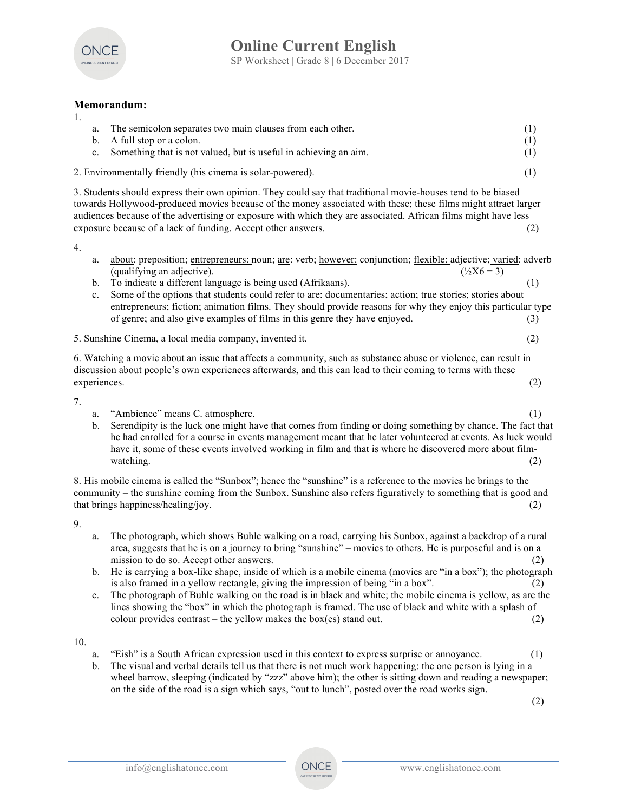

## **Memorandum:**

| The semicolon separates two main clauses from each other.<br>a.                                              |  |
|--------------------------------------------------------------------------------------------------------------|--|
| b. A full stop or a colon.                                                                                   |  |
| c. Something that is not valued, but is useful in achieving an aim.                                          |  |
| 2. Environmentally friendly (his cinema is solar-powered).                                                   |  |
| 3. Students should express their own opinion. They could say that traditional movie-houses tend to be biased |  |

towards Hollywood-produced movies because of the money associated with these; these films might attract larger audiences because of the advertising or exposure with which they are associated. African films might have less exposure because of a lack of funding. Accept other answers. (2)

4.

1.

- a. about: preposition; entrepreneurs: noun; are: verb; however: conjunction; flexible: adjective; varied: adverb (qualifying an adjective).  $(^{12}X6 = 3)$
- b. To indicate a different language is being used (Afrikaans). (1)
- c. Some of the options that students could refer to are: documentaries; action; true stories; stories about entrepreneurs; fiction; animation films. They should provide reasons for why they enjoy this particular type of genre; and also give examples of films in this genre they have enjoyed. (3)
- 5. Sunshine Cinema, a local media company, invented it. (2)

6. Watching a movie about an issue that affects a community, such as substance abuse or violence, can result in discussion about people's own experiences afterwards, and this can lead to their coming to terms with these experiences. (2)

7.

- a. "Ambience" means C. atmosphere. (1)
- b. Serendipity is the luck one might have that comes from finding or doing something by chance. The fact that he had enrolled for a course in events management meant that he later volunteered at events. As luck would have it, some of these events involved working in film and that is where he discovered more about filmwatching.  $(2)$

8. His mobile cinema is called the "Sunbox"; hence the "sunshine" is a reference to the movies he brings to the community – the sunshine coming from the Sunbox. Sunshine also refers figuratively to something that is good and that brings happiness/healing/joy. (2)

9.

- a. The photograph, which shows Buhle walking on a road, carrying his Sunbox, against a backdrop of a rural area, suggests that he is on a journey to bring "sunshine" – movies to others. He is purposeful and is on a mission to do so. Accept other answers. (2)
- b. He is carrying a box-like shape, inside of which is a mobile cinema (movies are "in a box"); the photograph is also framed in a yellow rectangle, giving the impression of being "in a box". (2)
- c. The photograph of Buhle walking on the road is in black and white; the mobile cinema is yellow, as are the lines showing the "box" in which the photograph is framed. The use of black and white with a splash of colour provides contrast – the yellow makes the box(es) stand out.  $(2)$

10.

- a. "Eish" is a South African expression used in this context to express surprise or annoyance. (1)
- b. The visual and verbal details tell us that there is not much work happening: the one person is lying in a wheel barrow, sleeping (indicated by "zzz" above him); the other is sitting down and reading a newspaper; on the side of the road is a sign which says, "out to lunch", posted over the road works sign.

(2)